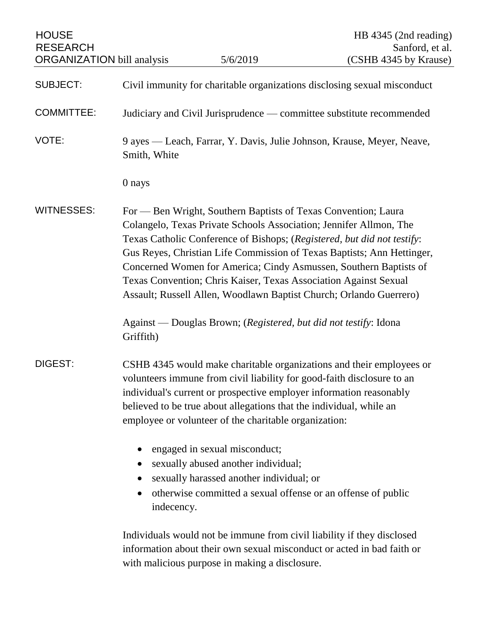| <b>HOUSE</b><br><b>RESEARCH</b><br><b>ORGANIZATION</b> bill analysis |                                                                                                                                                                                                                                                                                                                                                                                                                                                                                                          | 5/6/2019                                                                                                                     | HB 4345 (2nd reading)<br>Sanford, et al.<br>(CSHB 4345 by Krause)                                                                                                                                                     |
|----------------------------------------------------------------------|----------------------------------------------------------------------------------------------------------------------------------------------------------------------------------------------------------------------------------------------------------------------------------------------------------------------------------------------------------------------------------------------------------------------------------------------------------------------------------------------------------|------------------------------------------------------------------------------------------------------------------------------|-----------------------------------------------------------------------------------------------------------------------------------------------------------------------------------------------------------------------|
|                                                                      |                                                                                                                                                                                                                                                                                                                                                                                                                                                                                                          |                                                                                                                              |                                                                                                                                                                                                                       |
| <b>SUBJECT:</b>                                                      | Civil immunity for charitable organizations disclosing sexual misconduct                                                                                                                                                                                                                                                                                                                                                                                                                                 |                                                                                                                              |                                                                                                                                                                                                                       |
| <b>COMMITTEE:</b>                                                    | Judiciary and Civil Jurisprudence — committee substitute recommended                                                                                                                                                                                                                                                                                                                                                                                                                                     |                                                                                                                              |                                                                                                                                                                                                                       |
| VOTE:                                                                | Smith, White                                                                                                                                                                                                                                                                                                                                                                                                                                                                                             |                                                                                                                              | 9 ayes — Leach, Farrar, Y. Davis, Julie Johnson, Krause, Meyer, Neave,                                                                                                                                                |
|                                                                      | 0 nays                                                                                                                                                                                                                                                                                                                                                                                                                                                                                                   |                                                                                                                              |                                                                                                                                                                                                                       |
| <b>WITNESSES:</b>                                                    | For — Ben Wright, Southern Baptists of Texas Convention; Laura<br>Colangelo, Texas Private Schools Association; Jennifer Allmon, The<br>Texas Catholic Conference of Bishops; (Registered, but did not testify:<br>Gus Reyes, Christian Life Commission of Texas Baptists; Ann Hettinger,<br>Concerned Women for America; Cindy Asmussen, Southern Baptists of<br>Texas Convention; Chris Kaiser, Texas Association Against Sexual<br>Assault; Russell Allen, Woodlawn Baptist Church; Orlando Guerrero) |                                                                                                                              |                                                                                                                                                                                                                       |
|                                                                      | Griffith)                                                                                                                                                                                                                                                                                                                                                                                                                                                                                                | Against — Douglas Brown; (Registered, but did not testify: Idona                                                             |                                                                                                                                                                                                                       |
| <b>DIGEST:</b>                                                       |                                                                                                                                                                                                                                                                                                                                                                                                                                                                                                          | believed to be true about allegations that the individual, while an<br>employee or volunteer of the charitable organization: | CSHB 4345 would make charitable organizations and their employees or<br>volunteers immune from civil liability for good-faith disclosure to an<br>individual's current or prospective employer information reasonably |
|                                                                      | $\bullet$<br>$\bullet$<br>indecency.                                                                                                                                                                                                                                                                                                                                                                                                                                                                     | engaged in sexual misconduct;<br>sexually abused another individual;<br>sexually harassed another individual; or             | otherwise committed a sexual offense or an offense of public                                                                                                                                                          |
|                                                                      |                                                                                                                                                                                                                                                                                                                                                                                                                                                                                                          | with malicious purpose in making a disclosure.                                                                               | Individuals would not be immune from civil liability if they disclosed<br>information about their own sexual misconduct or acted in bad faith or                                                                      |